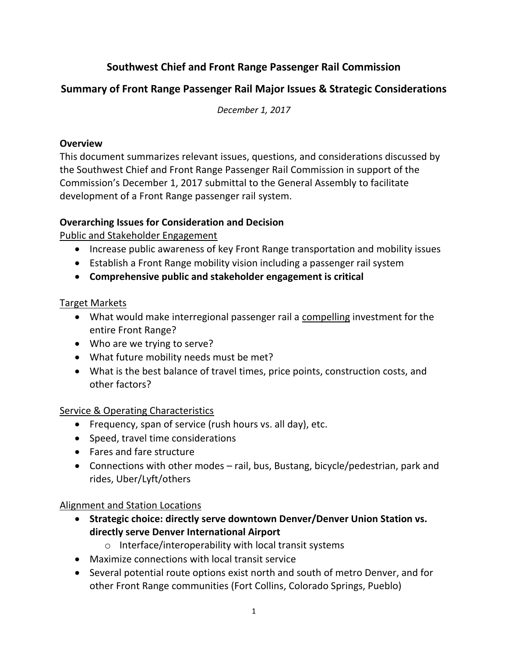# **Southwest Chief and Front Range Passenger Rail Commission**

## **Summary of Front Range Passenger Rail Major Issues & Strategic Considerations**

*December 1, 2017*

#### **Overview**

This document summarizes relevant issues, questions, and considerations discussed by the Southwest Chief and Front Range Passenger Rail Commission in support of the Commission's December 1, 2017 submittal to the General Assembly to facilitate development of a Front Range passenger rail system.

## **Overarching Issues for Consideration and Decision**

Public and Stakeholder Engagement

- Increase public awareness of key Front Range transportation and mobility issues
- Establish a Front Range mobility vision including a passenger rail system
- **Comprehensive public and stakeholder engagement is critical**

## Target Markets

- What would make interregional passenger rail a compelling investment for the entire Front Range?
- Who are we trying to serve?
- What future mobility needs must be met?
- What is the best balance of travel times, price points, construction costs, and other factors?

## Service & Operating Characteristics

- Frequency, span of service (rush hours vs. all day), etc.
- Speed, travel time considerations
- Fares and fare structure
- Connections with other modes rail, bus, Bustang, bicycle/pedestrian, park and rides, Uber/Lyft/others

## Alignment and Station Locations

- **Strategic choice: directly serve downtown Denver/Denver Union Station vs. directly serve Denver International Airport**
	- o Interface/interoperability with local transit systems
- Maximize connections with local transit service
- Several potential route options exist north and south of metro Denver, and for other Front Range communities (Fort Collins, Colorado Springs, Pueblo)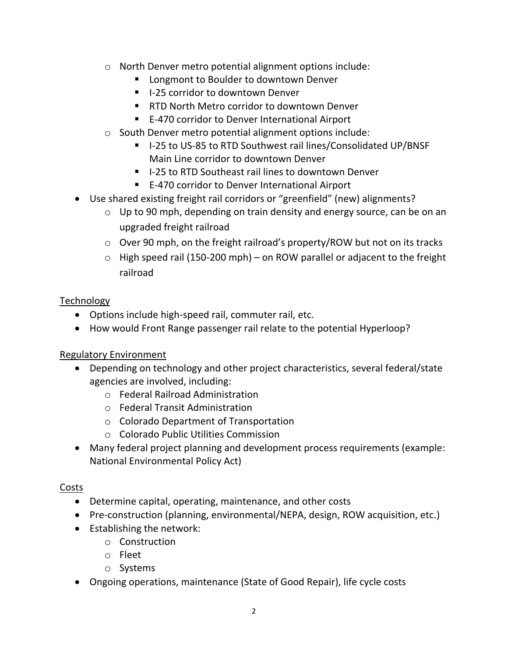- o North Denver metro potential alignment options include:
	- Longmont to Boulder to downtown Denver
	- I-25 corridor to downtown Denver
	- RTD North Metro corridor to downtown Denver
	- E-470 corridor to Denver International Airport
- o South Denver metro potential alignment options include:
	- I-25 to US-85 to RTD Southwest rail lines/Consolidated UP/BNSF Main Line corridor to downtown Denver
	- I-25 to RTD Southeast rail lines to downtown Denver
	- E-470 corridor to Denver International Airport
- Use shared existing freight rail corridors or "greenfield" (new) alignments?
	- o Up to 90 mph, depending on train density and energy source, can be on an upgraded freight railroad
	- $\circ$  Over 90 mph, on the freight railroad's property/ROW but not on its tracks
	- $\circ$  High speed rail (150-200 mph) on ROW parallel or adjacent to the freight railroad

#### Technology

- Options include high-speed rail, commuter rail, etc.
- How would Front Range passenger rail relate to the potential Hyperloop?

## Regulatory Environment

- Depending on technology and other project characteristics, several federal/state agencies are involved, including:
	- o Federal Railroad Administration
	- o Federal Transit Administration
	- o Colorado Department of Transportation
	- o Colorado Public Utilities Commission
- Many federal project planning and development process requirements (example: National Environmental Policy Act)

#### Costs

- Determine capital, operating, maintenance, and other costs
- Pre-construction (planning, environmental/NEPA, design, ROW acquisition, etc.)
- Establishing the network:
	- o Construction
	- o Fleet
	- o Systems
- Ongoing operations, maintenance (State of Good Repair), life cycle costs